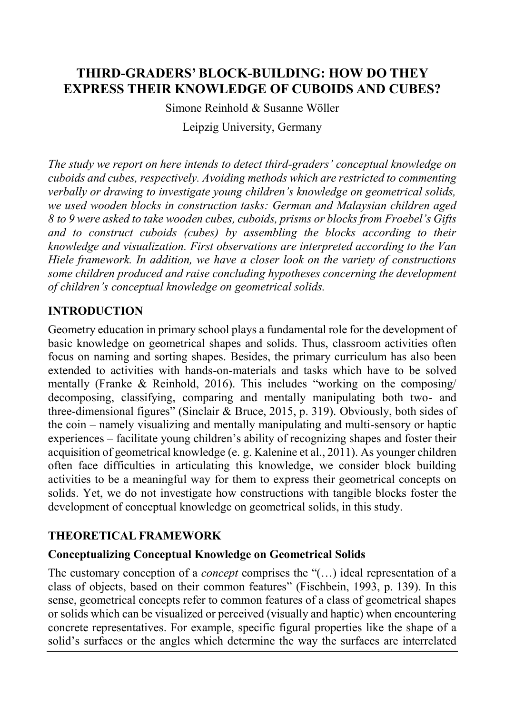# **THIRD-GRADERS' BLOCK-BUILDING: HOW DO THEY EXPRESS THEIR KNOWLEDGE OF CUBOIDS AND CUBES?**

Simone Reinhold & Susanne Wöller

Leipzig University, Germany

*The study we report on here intends to detect third-graders' conceptual knowledge on cuboids and cubes, respectively. Avoiding methods which are restricted to commenting verbally or drawing to investigate young children's knowledge on geometrical solids, we used wooden blocks in construction tasks: German and Malaysian children aged 8 to 9 were asked to take wooden cubes, cuboids, prisms or blocks from Froebel's Gifts and to construct cuboids (cubes) by assembling the blocks according to their knowledge and visualization. First observations are interpreted according to the Van Hiele framework. In addition, we have a closer look on the variety of constructions some children produced and raise concluding hypotheses concerning the development of children's conceptual knowledge on geometrical solids.*

### **INTRODUCTION**

Geometry education in primary school plays a fundamental role for the development of basic knowledge on geometrical shapes and solids. Thus, classroom activities often focus on naming and sorting shapes. Besides, the primary curriculum has also been extended to activities with hands-on-materials and tasks which have to be solved mentally (Franke & Reinhold, 2016). This includes "working on the composing/ decomposing, classifying, comparing and mentally manipulating both two- and three-dimensional figures" (Sinclair & Bruce, 2015, p. 319). Obviously, both sides of the coin – namely visualizing and mentally manipulating and multi-sensory or haptic experiences – facilitate young children's ability of recognizing shapes and foster their acquisition of geometrical knowledge (e. g. Kalenine et al., 2011). As younger children often face difficulties in articulating this knowledge, we consider block building activities to be a meaningful way for them to express their geometrical concepts on solids. Yet, we do not investigate how constructions with tangible blocks foster the development of conceptual knowledge on geometrical solids, in this study.

#### **THEORETICAL FRAMEWORK**

#### **Conceptualizing Conceptual Knowledge on Geometrical Solids**

The customary conception of a *concept* comprises the "(…) ideal representation of a class of objects, based on their common features" (Fischbein, 1993, p. 139). In this sense, geometrical concepts refer to common features of a class of geometrical shapes or solids which can be visualized or perceived (visually and haptic) when encountering concrete representatives. For example, specific figural properties like the shape of a solid's surfaces or the angles which determine the way the surfaces are interrelated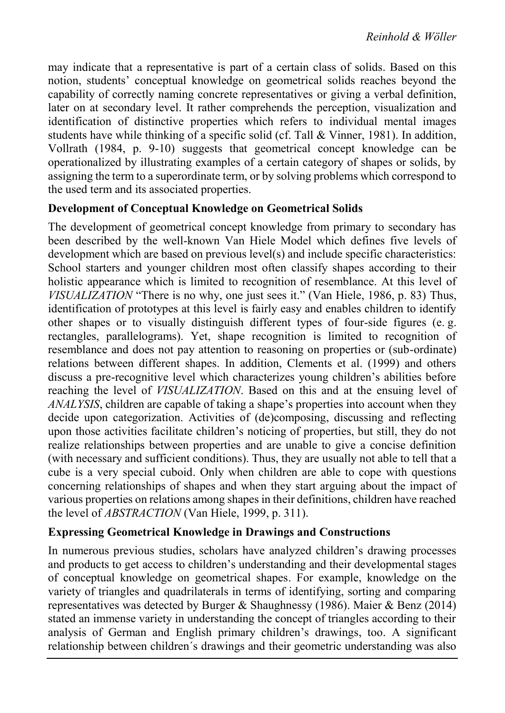may indicate that a representative is part of a certain class of solids. Based on this notion, students' conceptual knowledge on geometrical solids reaches beyond the capability of correctly naming concrete representatives or giving a verbal definition, later on at secondary level. It rather comprehends the perception, visualization and identification of distinctive properties which refers to individual mental images students have while thinking of a specific solid (cf. Tall & Vinner, 1981). In addition, Vollrath (1984, p. 9-10) suggests that geometrical concept knowledge can be operationalized by illustrating examples of a certain category of shapes or solids, by assigning the term to a superordinate term, or by solving problems which correspond to the used term and its associated properties.

### **Development of Conceptual Knowledge on Geometrical Solids**

The development of geometrical concept knowledge from primary to secondary has been described by the well-known Van Hiele Model which defines five levels of development which are based on previous level(s) and include specific characteristics: School starters and younger children most often classify shapes according to their holistic appearance which is limited to recognition of resemblance. At this level of *VISUALIZATION* "There is no why, one just sees it." (Van Hiele, 1986, p. 83) Thus, identification of prototypes at this level is fairly easy and enables children to identify other shapes or to visually distinguish different types of four-side figures (e. g. rectangles, parallelograms). Yet, shape recognition is limited to recognition of resemblance and does not pay attention to reasoning on properties or (sub-ordinate) relations between different shapes. In addition, Clements et al. (1999) and others discuss a pre-recognitive level which characterizes young children's abilities before reaching the level of *VISUALIZATION*. Based on this and at the ensuing level of *ANALYSIS*, children are capable of taking a shape's properties into account when they decide upon categorization. Activities of (de)composing, discussing and reflecting upon those activities facilitate children's noticing of properties, but still, they do not realize relationships between properties and are unable to give a concise definition (with necessary and sufficient conditions). Thus, they are usually not able to tell that a cube is a very special cuboid. Only when children are able to cope with questions concerning relationships of shapes and when they start arguing about the impact of various properties on relations among shapes in their definitions, children have reached the level of *ABSTRACTION* (Van Hiele, 1999, p. 311).

#### **Expressing Geometrical Knowledge in Drawings and Constructions**

In numerous previous studies, scholars have analyzed children's drawing processes and products to get access to children's understanding and their developmental stages of conceptual knowledge on geometrical shapes. For example, knowledge on the variety of triangles and quadrilaterals in terms of identifying, sorting and comparing representatives was detected by Burger & Shaughnessy (1986). Maier & Benz (2014) stated an immense variety in understanding the concept of triangles according to their analysis of German and English primary children's drawings, too. A significant relationship between children´s drawings and their geometric understanding was also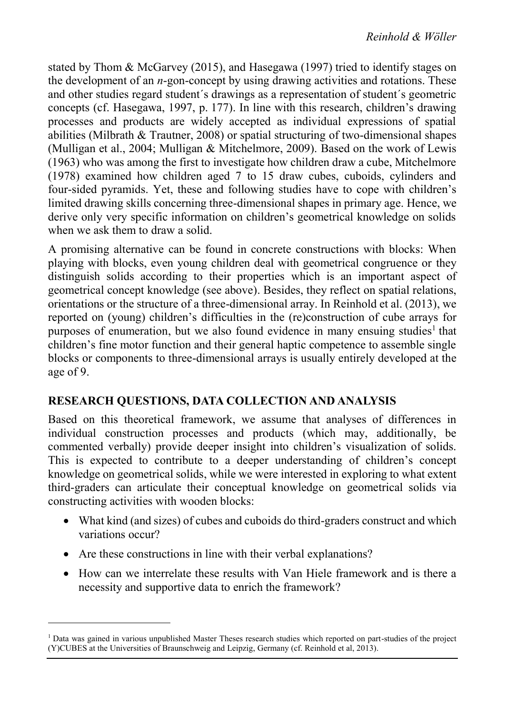stated by Thom & McGarvey (2015), and Hasegawa (1997) tried to identify stages on the development of an *n*-gon-concept by using drawing activities and rotations. These and other studies regard student´s drawings as a representation of student´s geometric concepts (cf. Hasegawa, 1997, p. 177). In line with this research, children's drawing processes and products are widely accepted as individual expressions of spatial abilities (Milbrath & Trautner, 2008) or spatial structuring of two-dimensional shapes (Mulligan et al., 2004; Mulligan & Mitchelmore, 2009). Based on the work of Lewis (1963) who was among the first to investigate how children draw a cube, Mitchelmore (1978) examined how children aged 7 to 15 draw cubes, cuboids, cylinders and four-sided pyramids. Yet, these and following studies have to cope with children's limited drawing skills concerning three-dimensional shapes in primary age. Hence, we derive only very specific information on children's geometrical knowledge on solids when we ask them to draw a solid.

A promising alternative can be found in concrete constructions with blocks: When playing with blocks, even young children deal with geometrical congruence or they distinguish solids according to their properties which is an important aspect of geometrical concept knowledge (see above). Besides, they reflect on spatial relations, orientations or the structure of a three-dimensional array. In Reinhold et al. (2013), we reported on (young) children's difficulties in the (re)construction of cube arrays for purposes of enumeration, but we also found evidence in many ensuing studies<sup>1</sup> that children's fine motor function and their general haptic competence to assemble single blocks or components to three-dimensional arrays is usually entirely developed at the age of 9.

# **RESEARCH QUESTIONS, DATA COLLECTION AND ANALYSIS**

Based on this theoretical framework, we assume that analyses of differences in individual construction processes and products (which may, additionally, be commented verbally) provide deeper insight into children's visualization of solids. This is expected to contribute to a deeper understanding of children's concept knowledge on geometrical solids, while we were interested in exploring to what extent third-graders can articulate their conceptual knowledge on geometrical solids via constructing activities with wooden blocks:

- What kind (and sizes) of cubes and cuboids do third-graders construct and which variations occur?
- Are these constructions in line with their verbal explanations?

l

 How can we interrelate these results with Van Hiele framework and is there a necessity and supportive data to enrich the framework?

<sup>&</sup>lt;sup>1</sup> Data was gained in various unpublished Master Theses research studies which reported on part-studies of the project (Y)CUBES at the Universities of Braunschweig and Leipzig, Germany (cf. Reinhold et al, 2013).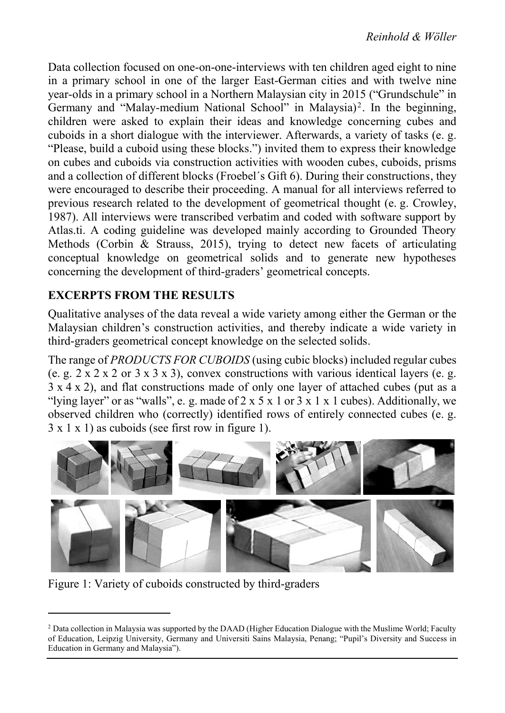Data collection focused on one-on-one-interviews with ten children aged eight to nine in a primary school in one of the larger East-German cities and with twelve nine year-olds in a primary school in a Northern Malaysian city in 2015 ("Grundschule" in Germany and "Malay-medium National School" in Malaysia)<sup>2</sup>. In the beginning, children were asked to explain their ideas and knowledge concerning cubes and cuboids in a short dialogue with the interviewer. Afterwards, a variety of tasks (e. g. "Please, build a cuboid using these blocks.") invited them to express their knowledge on cubes and cuboids via construction activities with wooden cubes, cuboids, prisms and a collection of different blocks (Froebel´s Gift 6). During their constructions, they were encouraged to describe their proceeding. A manual for all interviews referred to previous research related to the development of geometrical thought (e. g. Crowley, 1987). All interviews were transcribed verbatim and coded with software support by Atlas.ti. A coding guideline was developed mainly according to Grounded Theory Methods (Corbin & Strauss, 2015), trying to detect new facets of articulating conceptual knowledge on geometrical solids and to generate new hypotheses concerning the development of third-graders' geometrical concepts.

# **EXCERPTS FROM THE RESULTS**

Qualitative analyses of the data reveal a wide variety among either the German or the Malaysian children's construction activities, and thereby indicate a wide variety in third-graders geometrical concept knowledge on the selected solids.

The range of *PRODUCTS FOR CUBOIDS* (using cubic blocks) included regular cubes (e. g.  $2 \times 2 \times 2$  or  $3 \times 3 \times 3$ ), convex constructions with various identical layers (e. g. 3 x 4 x 2), and flat constructions made of only one layer of attached cubes (put as a "lying layer" or as "walls", e. g. made of  $2 \times 5 \times 1$  or  $3 \times 1 \times 1$  cubes). Additionally, we observed children who (correctly) identified rows of entirely connected cubes (e. g. 3 x 1 x 1) as cuboids (see first row in figure 1).



Figure 1: Variety of cuboids constructed by third-graders

 $\overline{a}$ 

<sup>&</sup>lt;sup>2</sup> Data collection in Malaysia was supported by the DAAD (Higher Education Dialogue with the Muslime World; Faculty of Education, Leipzig University, Germany and Universiti Sains Malaysia, Penang; "Pupil's Diversity and Success in Education in Germany and Malaysia").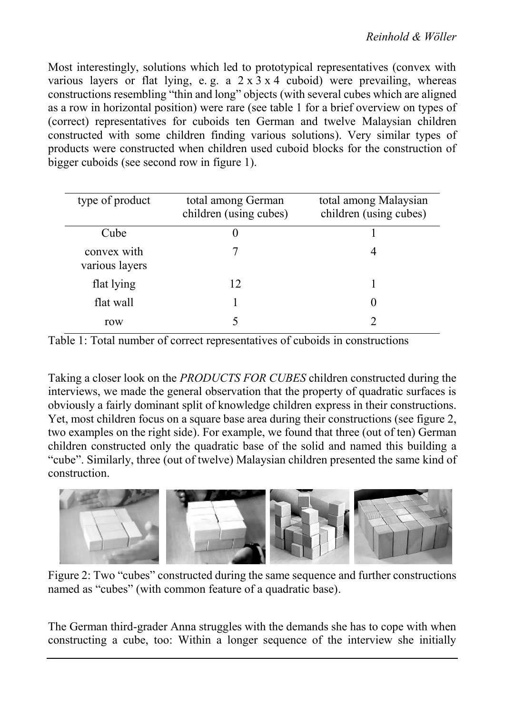Most interestingly, solutions which led to prototypical representatives (convex with various layers or flat lying, e.g. a  $2 \times 3 \times 4$  cuboid) were prevailing, whereas constructions resembling "thin and long" objects (with several cubes which are aligned as a row in horizontal position) were rare (see table 1 for a brief overview on types of (correct) representatives for cuboids ten German and twelve Malaysian children constructed with some children finding various solutions). Very similar types of products were constructed when children used cuboid blocks for the construction of bigger cuboids (see second row in figure 1).

| type of product               | total among German<br>children (using cubes) | total among Malaysian<br>children (using cubes) |
|-------------------------------|----------------------------------------------|-------------------------------------------------|
| Cube                          |                                              |                                                 |
| convex with<br>various layers |                                              | 4                                               |
| flat lying                    | 12                                           |                                                 |
| flat wall                     |                                              |                                                 |
| row                           |                                              |                                                 |

Table 1: Total number of correct representatives of cuboids in constructions

Taking a closer look on the *PRODUCTS FOR CUBES* children constructed during the interviews, we made the general observation that the property of quadratic surfaces is obviously a fairly dominant split of knowledge children express in their constructions. Yet, most children focus on a square base area during their constructions (see figure 2, two examples on the right side). For example, we found that three (out of ten) German children constructed only the quadratic base of the solid and named this building a "cube". Similarly, three (out of twelve) Malaysian children presented the same kind of construction.



Figure 2: Two "cubes" constructed during the same sequence and further constructions named as "cubes" (with common feature of a quadratic base).

The German third-grader Anna struggles with the demands she has to cope with when constructing a cube, too: Within a longer sequence of the interview she initially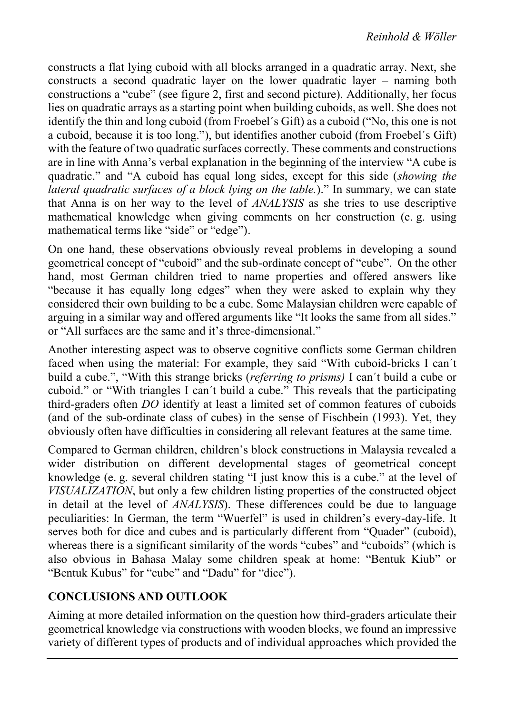constructs a flat lying cuboid with all blocks arranged in a quadratic array. Next, she constructs a second quadratic layer on the lower quadratic layer – naming both constructions a "cube" (see figure 2, first and second picture). Additionally, her focus lies on quadratic arrays as a starting point when building cuboids, as well. She does not identify the thin and long cuboid (from Froebel´s Gift) as a cuboid ("No, this one is not a cuboid, because it is too long."), but identifies another cuboid (from Froebel´s Gift) with the feature of two quadratic surfaces correctly. These comments and constructions are in line with Anna's verbal explanation in the beginning of the interview "A cube is quadratic." and "A cuboid has equal long sides, except for this side (*showing the lateral quadratic surfaces of a block lying on the table.*)." In summary, we can state that Anna is on her way to the level of *ANALYSIS* as she tries to use descriptive mathematical knowledge when giving comments on her construction (e. g. using mathematical terms like "side" or "edge").

On one hand, these observations obviously reveal problems in developing a sound geometrical concept of "cuboid" and the sub-ordinate concept of "cube". On the other hand, most German children tried to name properties and offered answers like "because it has equally long edges" when they were asked to explain why they considered their own building to be a cube. Some Malaysian children were capable of arguing in a similar way and offered arguments like "It looks the same from all sides." or "All surfaces are the same and it's three-dimensional."

Another interesting aspect was to observe cognitive conflicts some German children faced when using the material: For example, they said "With cuboid-bricks I can´t build a cube.", "With this strange bricks (*referring to prisms)* I can´t build a cube or cuboid." or "With triangles I can´t build a cube." This reveals that the participating third-graders often *DO* identify at least a limited set of common features of cuboids (and of the sub-ordinate class of cubes) in the sense of Fischbein (1993). Yet, they obviously often have difficulties in considering all relevant features at the same time.

Compared to German children, children's block constructions in Malaysia revealed a wider distribution on different developmental stages of geometrical concept knowledge (e. g. several children stating "I just know this is a cube." at the level of *VISUALIZATION*, but only a few children listing properties of the constructed object in detail at the level of *ANALYSIS*). These differences could be due to language peculiarities: In German, the term "Wuerfel" is used in children's every-day-life. It serves both for dice and cubes and is particularly different from "Quader" (cuboid), whereas there is a significant similarity of the words "cubes" and "cuboids" (which is also obvious in Bahasa Malay some children speak at home: "Bentuk Kiub" or "Bentuk Kubus" for "cube" and "Dadu" for "dice").

# **CONCLUSIONS AND OUTLOOK**

Aiming at more detailed information on the question how third-graders articulate their geometrical knowledge via constructions with wooden blocks, we found an impressive variety of different types of products and of individual approaches which provided the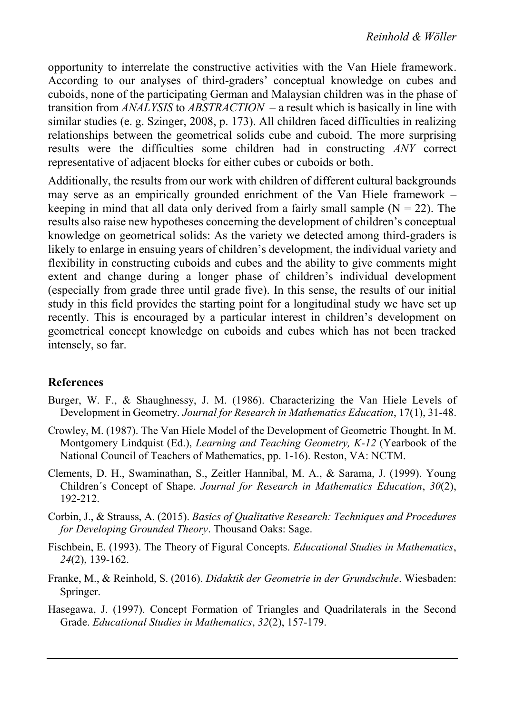opportunity to interrelate the constructive activities with the Van Hiele framework. According to our analyses of third-graders' conceptual knowledge on cubes and cuboids, none of the participating German and Malaysian children was in the phase of transition from *ANALYSIS* to *ABSTRACTION* – a result which is basically in line with similar studies (e. g. Szinger, 2008, p. 173). All children faced difficulties in realizing relationships between the geometrical solids cube and cuboid. The more surprising results were the difficulties some children had in constructing *ANY* correct representative of adjacent blocks for either cubes or cuboids or both.

Additionally, the results from our work with children of different cultural backgrounds may serve as an empirically grounded enrichment of the Van Hiele framework – keeping in mind that all data only derived from a fairly small sample  $(N = 22)$ . The results also raise new hypotheses concerning the development of children's conceptual knowledge on geometrical solids: As the variety we detected among third-graders is likely to enlarge in ensuing years of children's development, the individual variety and flexibility in constructing cuboids and cubes and the ability to give comments might extent and change during a longer phase of children's individual development (especially from grade three until grade five). In this sense, the results of our initial study in this field provides the starting point for a longitudinal study we have set up recently. This is encouraged by a particular interest in children's development on geometrical concept knowledge on cuboids and cubes which has not been tracked intensely, so far.

# **References**

- Burger, W. F., & Shaughnessy, J. M. (1986). Characterizing the Van Hiele Levels of Development in Geometry. *Journal for Research in Mathematics Education*, 17(1), 31-48.
- Crowley, M. (1987). The Van Hiele Model of the Development of Geometric Thought. In M. Montgomery Lindquist (Ed.), *Learning and Teaching Geometry, K-12* (Yearbook of the National Council of Teachers of Mathematics, pp. 1-16). Reston, VA: NCTM.
- Clements, D. H., Swaminathan, S., Zeitler Hannibal, M. A., & Sarama, J. (1999). Young Children´s Concept of Shape. *Journal for Research in Mathematics Education*, *30*(2), 192-212.
- Corbin, J., & Strauss, A. (2015). *Basics of Qualitative Research: Techniques and Procedures for Developing Grounded Theory*. Thousand Oaks: Sage.
- Fischbein, E. (1993). The Theory of Figural Concepts. *Educational Studies in Mathematics*, *24*(2), 139-162.
- Franke, M., & Reinhold, S. (2016). *Didaktik der Geometrie in der Grundschule*. Wiesbaden: Springer.
- Hasegawa, J. (1997). Concept Formation of Triangles and Quadrilaterals in the Second Grade. *Educational Studies in Mathematics*, *32*(2), 157-179.